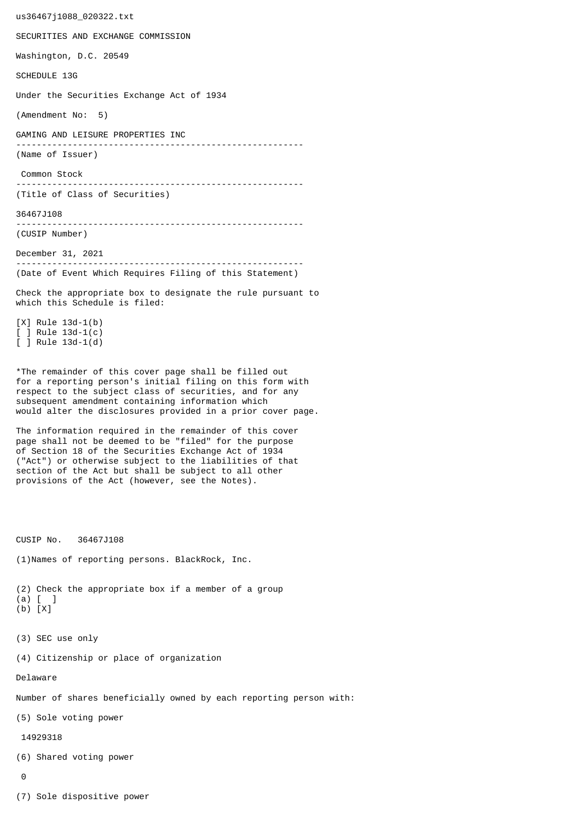us36467j1088\_020322.txt SECURITIES AND EXCHANGE COMMISSION Washington, D.C. 20549 SCHEDULE 13G Under the Securities Exchange Act of 1934 (Amendment No: 5) GAMING AND LEISURE PROPERTIES INC -------------------------------------------------------- (Name of Issuer) Common Stock -------------------------------------------------------- (Title of Class of Securities) 36467J108 -------------------------------------------------------- (CUSIP Number) December 31, 2021 -------------------------------------------------------- (Date of Event Which Requires Filing of this Statement) Check the appropriate box to designate the rule pursuant to which this Schedule is filed: [X] Rule 13d-1(b) [ ] Rule 13d-1(c) [ ] Rule 13d-1(d) \*The remainder of this cover page shall be filled out for a reporting person's initial filing on this form with respect to the subject class of securities, and for any subsequent amendment containing information which would alter the disclosures provided in a prior cover page. The information required in the remainder of this cover page shall not be deemed to be "filed" for the purpose of Section 18 of the Securities Exchange Act of 1934 ("Act") or otherwise subject to the liabilities of that section of the Act but shall be subject to all other provisions of the Act (however, see the Notes). CUSIP No. 36467J108 (1)Names of reporting persons. BlackRock, Inc. (2) Check the appropriate box if a member of a group (a) [ ] (b) [X] (3) SEC use only (4) Citizenship or place of organization Delaware Number of shares beneficially owned by each reporting person with: (5) Sole voting power 14929318 (6) Shared voting power  $\Omega$ 

(7) Sole dispositive power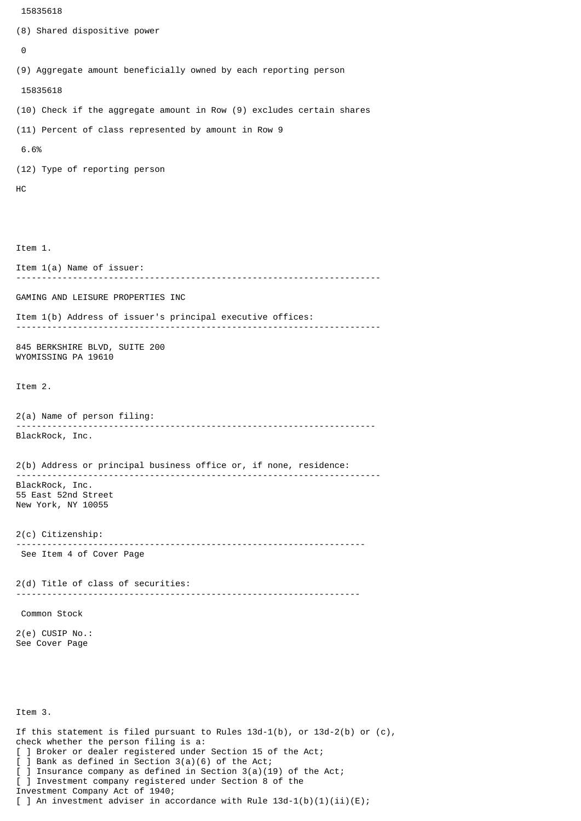```
 15835618
(8) Shared dispositive power
 \boldsymbol{\Theta}(9) Aggregate amount beneficially owned by each reporting person
  15835618
(10) Check if the aggregate amount in Row (9) excludes certain shares
(11) Percent of class represented by amount in Row 9
 6.6%
(12) Type of reporting person
HC
Item 1.
Item 1(a) Name of issuer:
            -----------------------------------------------------------------------
GAMING AND LEISURE PROPERTIES INC
Item 1(b) Address of issuer's principal executive offices:
-----------------------------------------------------------------------
845 BERKSHIRE BLVD, SUITE 200
WYOMISSING PA 19610
Item 2.
2(a) Name of person filing:
               ----------------------------------------------------------------------
BlackRock, Inc.
2(b) Address or principal business office or, if none, residence:
 -----------------------------------------------------------------------
BlackRock, Inc.
55 East 52nd Street
New York, NY 10055
2(c) Citizenship:
                             --------------------------------------------------------------------
 See Item 4 of Cover Page
2(d) Title of class of securities:
                                       -------------------------------------------------------------------
 Common Stock
2(e) CUSIP No.:
See Cover Page
Item 3.
If this statement is filed pursuant to Rules 13d-1(b), or 13d-2(b) or (c),
check whether the person filing is a:
[ ] Broker or dealer registered under Section 15 of the Act;
```
[ ] Bank as defined in Section 3(a)(6) of the Act;

Investment Company Act of 1940;

[ ] Investment company registered under Section 8 of the

] Insurance company as defined in Section  $3(a)(19)$  of the Act;

[ ] An investment adviser in accordance with Rule  $13d-1(b)(1)(ii)(E)$ ;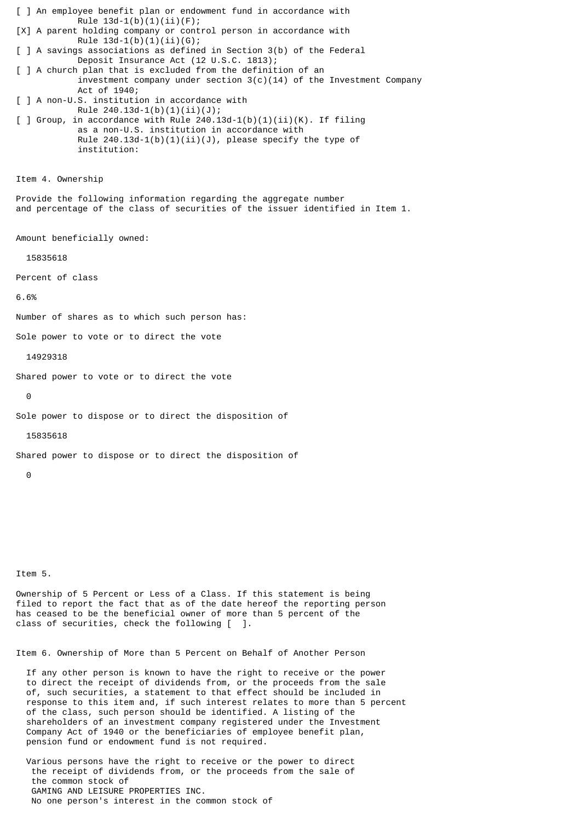[ ] An employee benefit plan or endowment fund in accordance with Rule  $13d-1(b)(1)(ii)(F);$ [X] A parent holding company or control person in accordance with Rule  $13d-1(b)(1)(ii)(G);$ [ ] A savings associations as defined in Section 3(b) of the Federal Deposit Insurance Act (12 U.S.C. 1813); [ ] A church plan that is excluded from the definition of an investment company under section  $3(c)(14)$  of the Investment Company Act of 1940; [ ] A non-U.S. institution in accordance with Rule 240.13d-1(b)(1)(ii)(J);  $\lceil$  ] Group, in accordance with Rule 240.13d-1(b)(1)(ii)(K). If filing as a non-U.S. institution in accordance with Rule  $240.13d-1(b)(1)(ii)(J)$ , please specify the type of institution: Item 4. Ownership Provide the following information regarding the aggregate number and percentage of the class of securities of the issuer identified in Item 1. Amount beneficially owned: 15835618 Percent of class 6.6% Number of shares as to which such person has: Sole power to vote or to direct the vote 14929318 Shared power to vote or to direct the vote  $\Theta$ Sole power to dispose or to direct the disposition of 15835618 Shared power to dispose or to direct the disposition of  $\Omega$ 

Item 5.

Ownership of 5 Percent or Less of a Class. If this statement is being filed to report the fact that as of the date hereof the reporting person has ceased to be the beneficial owner of more than 5 percent of the class of securities, check the following [ ].

Item 6. Ownership of More than 5 Percent on Behalf of Another Person

 If any other person is known to have the right to receive or the power to direct the receipt of dividends from, or the proceeds from the sale of, such securities, a statement to that effect should be included in response to this item and, if such interest relates to more than 5 percent of the class, such person should be identified. A listing of the shareholders of an investment company registered under the Investment Company Act of 1940 or the beneficiaries of employee benefit plan, pension fund or endowment fund is not required.

 Various persons have the right to receive or the power to direct the receipt of dividends from, or the proceeds from the sale of the common stock of GAMING AND LEISURE PROPERTIES INC. No one person's interest in the common stock of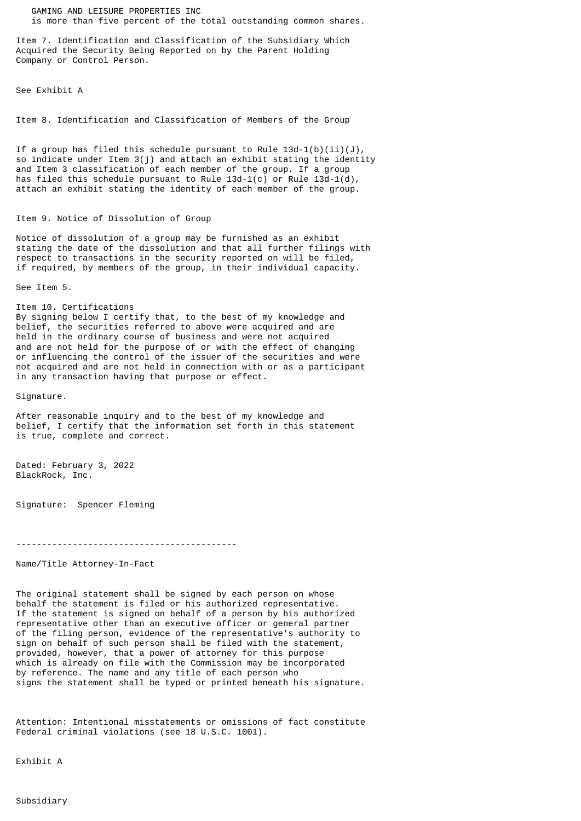GAMING AND LEISURE PROPERTIES INC is more than five percent of the total outstanding common shares.

Item 7. Identification and Classification of the Subsidiary Which Acquired the Security Being Reported on by the Parent Holding Company or Control Person.

See Exhibit A

Item 8. Identification and Classification of Members of the Group

If a group has filed this schedule pursuant to Rule  $13d-1(b)(ii)(J)$ , so indicate under Item 3(j) and attach an exhibit stating the identity and Item 3 classification of each member of the group. If a group has filed this schedule pursuant to Rule  $13d-1(c)$  or Rule  $13d-1(d)$ , attach an exhibit stating the identity of each member of the group.

## Item 9. Notice of Dissolution of Group

Notice of dissolution of a group may be furnished as an exhibit stating the date of the dissolution and that all further filings with respect to transactions in the security reported on will be filed, if required, by members of the group, in their individual capacity.

See Item 5.

Item 10. Certifications By signing below I certify that, to the best of my knowledge and belief, the securities referred to above were acquired and are held in the ordinary course of business and were not acquired and are not held for the purpose of or with the effect of changing or influencing the control of the issuer of the securities and were not acquired and are not held in connection with or as a participant in any transaction having that purpose or effect.

Signature.

After reasonable inquiry and to the best of my knowledge and belief, I certify that the information set forth in this statement is true, complete and correct.

Dated: February 3, 2022 BlackRock, Inc.

Signature: Spencer Fleming

-------------------------------------------

Name/Title Attorney-In-Fact

The original statement shall be signed by each person on whose behalf the statement is filed or his authorized representative. If the statement is signed on behalf of a person by his authorized representative other than an executive officer or general partner of the filing person, evidence of the representative's authority to sign on behalf of such person shall be filed with the statement, provided, however, that a power of attorney for this purpose which is already on file with the Commission may be incorporated by reference. The name and any title of each person who signs the statement shall be typed or printed beneath his signature.

Attention: Intentional misstatements or omissions of fact constitute Federal criminal violations (see 18 U.S.C. 1001).

Exhibit A